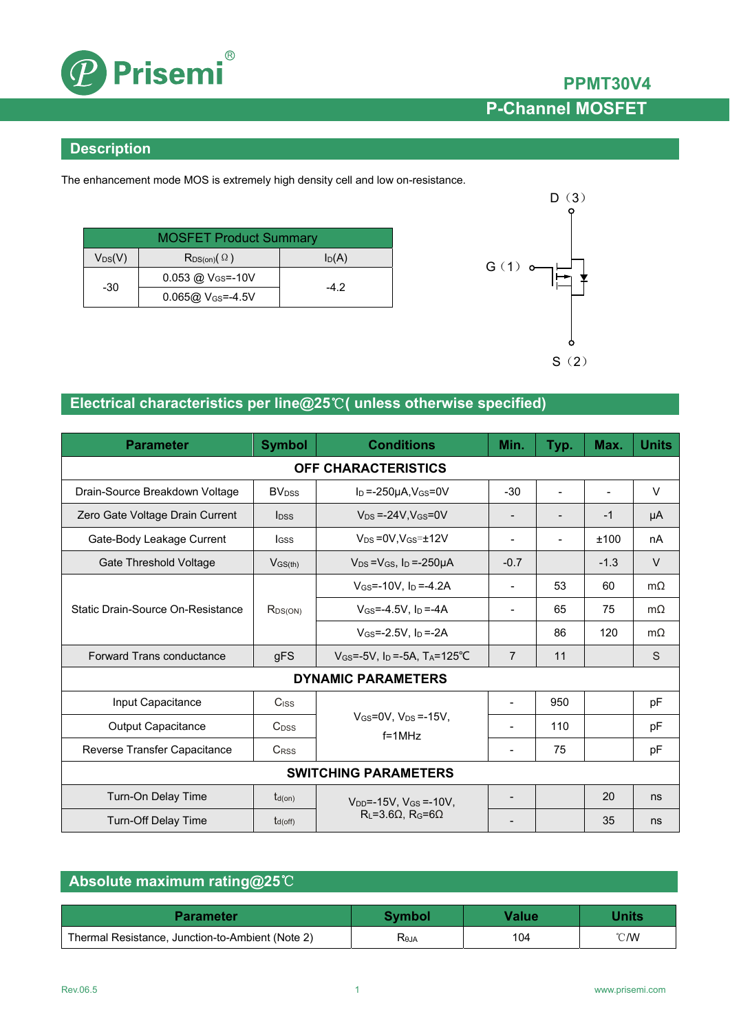

### **Description**

The enhancement mode MOS is extremely high density cell and low on-resistance.

| <b>MOSFET Product Summary</b> |                               |          |  |  |
|-------------------------------|-------------------------------|----------|--|--|
| $V_{DS}(V)$                   | $R_{DS(on)}(\Omega)$          | $I_D(A)$ |  |  |
| $-30$                         | 0.053 @ V <sub>GS</sub> =-10V | -42      |  |  |
|                               | $0.065@V_{GS} = -4.5V$        |          |  |  |



## **Electrical characteristics per line@25**℃**( unless otherwise specified)**

| <b>Parameter</b>                                                                  | <b>Symbol</b>            | <b>Conditions</b>                                             | Min.                     | Typ.           | Max.   | <b>Units</b> |  |
|-----------------------------------------------------------------------------------|--------------------------|---------------------------------------------------------------|--------------------------|----------------|--------|--------------|--|
| <b>OFF CHARACTERISTICS</b>                                                        |                          |                                                               |                          |                |        |              |  |
| Drain-Source Breakdown Voltage                                                    | <b>BV</b> <sub>DSS</sub> | $I_D = -250\mu A$ , $V_{GS} = 0V$                             | $-30$                    | $\blacksquare$ |        | $\vee$       |  |
| Zero Gate Voltage Drain Current                                                   | <b>l</b> <sub>DSS</sub>  | $V_{DS} = -24V$ , $V_{GS} = 0V$                               |                          |                | $-1$   | μA           |  |
| Gate-Body Leakage Current                                                         | lgss                     | $V_{DS} = 0V.V_{GS} = \pm 12V$                                | $\blacksquare$           |                | ±100   | nA           |  |
| Gate Threshold Voltage                                                            | $V$ <sub>GS(th)</sub>    | $V_{DS} = V_{GS}$ , $I_D = -250 \mu A$                        | $-0.7$                   |                | $-1.3$ | $\vee$       |  |
|                                                                                   |                          | $V_{GS} = -10V$ , $I_D = -4.2A$                               |                          | 53             | 60     | $m\Omega$    |  |
| Static Drain-Source On-Resistance                                                 | $R_{DS(ON)}$             | $V$ <sub>GS</sub> =-4.5V, $I_D$ =-4A                          |                          | 65             | 75     | $m\Omega$    |  |
|                                                                                   |                          | $V$ <sub>GS</sub> =-2.5V, $I_D$ =-2A                          |                          | 86             | 120    | $m\Omega$    |  |
| <b>Forward Trans conductance</b>                                                  | gFS                      | $V_{GS} = -5V$ . In $= -5A$ . T <sub>A</sub> $= 125^{\circ}C$ | $\overline{7}$           | 11             |        | S            |  |
| <b>DYNAMIC PARAMETERS</b>                                                         |                          |                                                               |                          |                |        |              |  |
| Input Capacitance                                                                 | Ciss                     |                                                               | $\overline{\phantom{a}}$ | 950            |        | pF           |  |
| Output Capacitance                                                                | C <sub>DSS</sub>         | $V_{GS}=0V$ , $V_{DS}=15V$ ,<br>$f = 1MHz$                    |                          | 110            |        | pF           |  |
| Reverse Transfer Capacitance                                                      | <b>CRSS</b>              |                                                               | $\overline{\phantom{0}}$ | 75             |        | pF           |  |
| <b>SWITCHING PARAMETERS</b>                                                       |                          |                                                               |                          |                |        |              |  |
| Turn-On Delay Time                                                                | $t_{d(on)}$              | $V_{DD}$ =-15V, $V_{GS}$ =-10V,                               |                          |                | 20     | ns           |  |
| $R_L = 3.6\Omega$ , $R_G = 6\Omega$<br><b>Turn-Off Delay Time</b><br>$t_{d(off)}$ |                          |                                                               |                          | 35             | ns     |              |  |

## **Absolute maximum rating@25**℃

| <b>Parameter</b>                                 | <b>Symbol</b> | <b><i>Value</i></b> | <b>Jnits</b>   |
|--------------------------------------------------|---------------|---------------------|----------------|
| Thermal Resistance, Junction-to-Ambient (Note 2) | Reja          | 104                 | $^{\circ}$ C/W |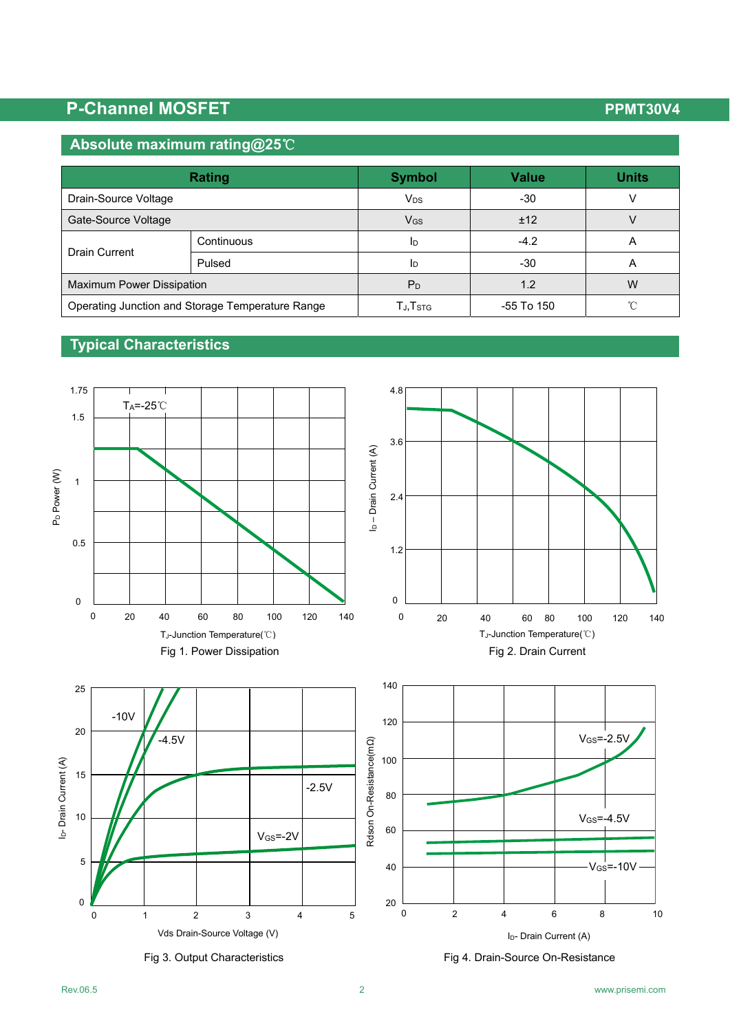# **P-Channel MOSFET P-Channel MOSFET**

## **Absolute maximum rating@25**℃

| Rating                                           |            | <b>Symbol</b>                      | <b>Value</b> | <b>Units</b>   |
|--------------------------------------------------|------------|------------------------------------|--------------|----------------|
| Drain-Source Voltage                             |            | V <sub>DS</sub>                    | -30          |                |
| Gate-Source Voltage                              |            | V <sub>GS</sub>                    | ±12          |                |
| Drain Current                                    | Continuous | Ιp                                 | $-4.2$       | $\overline{A}$ |
|                                                  | Pulsed     | Ιp                                 | -30          | $\overline{a}$ |
| <b>Maximum Power Dissipation</b>                 |            | P <sub>D</sub>                     | 1.2          | W              |
| Operating Junction and Storage Temperature Range |            | $T_{\mathsf{J}}, T_{\mathsf{STG}}$ | -55 To 150   | $\gamma$       |

## **Typical Characteristics**

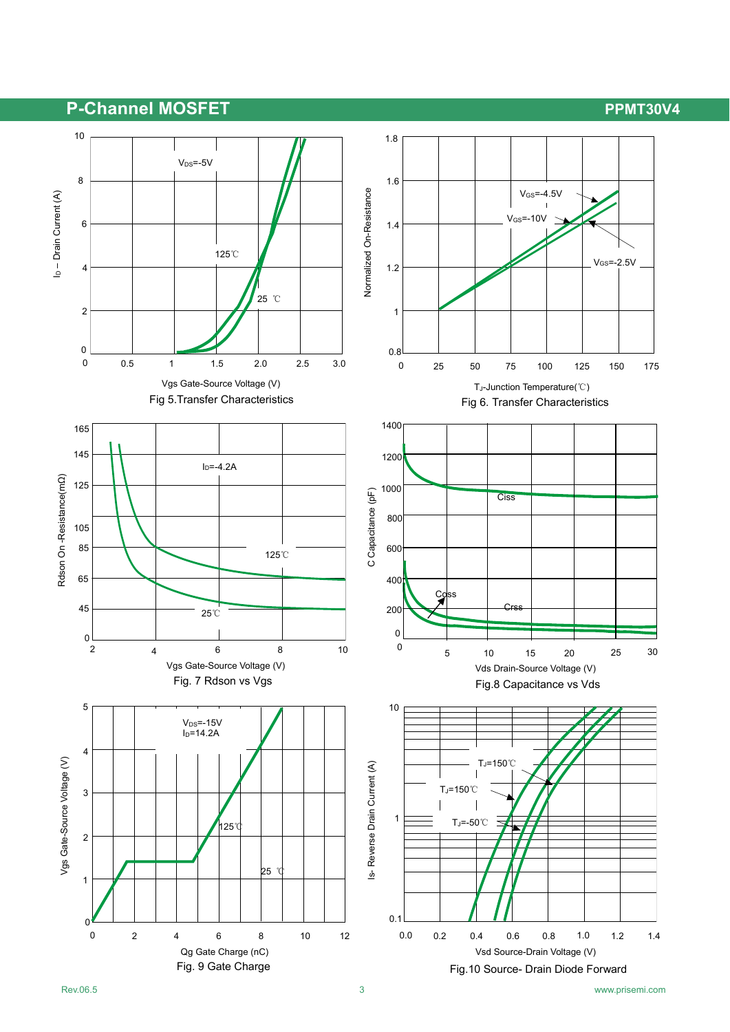## P-Channel MOSFET **PERIODIC CONTROL**

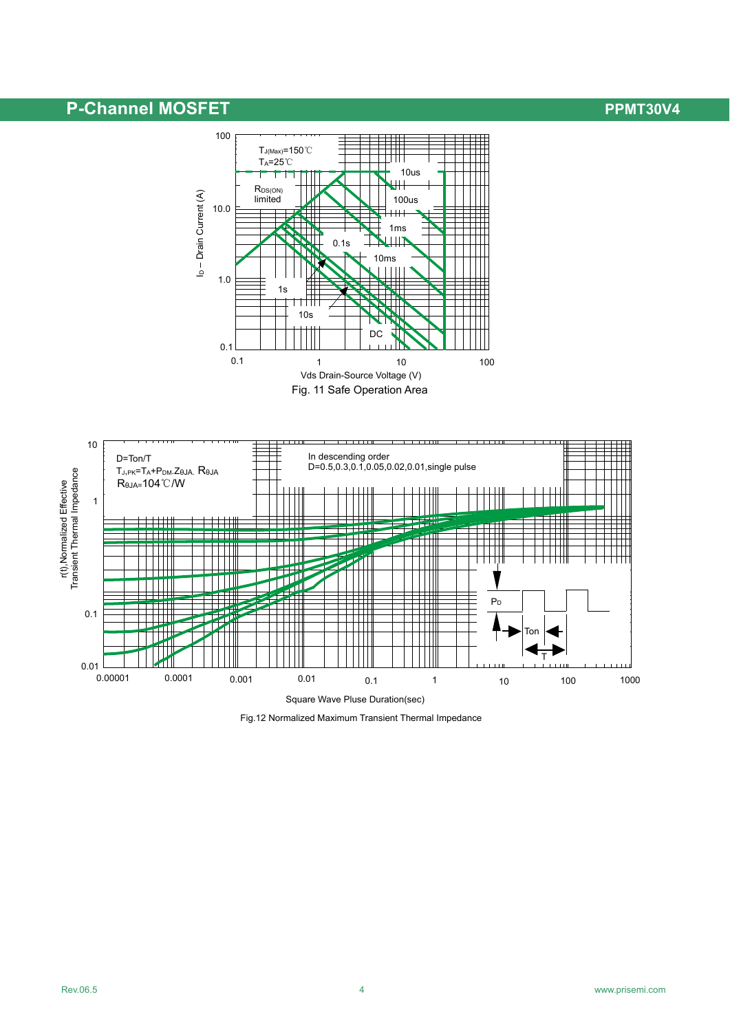## P-Channel MOSFET **PERIODIC CONTROL**





Fig.12 Normalized Maximum Transient Thermal Impedance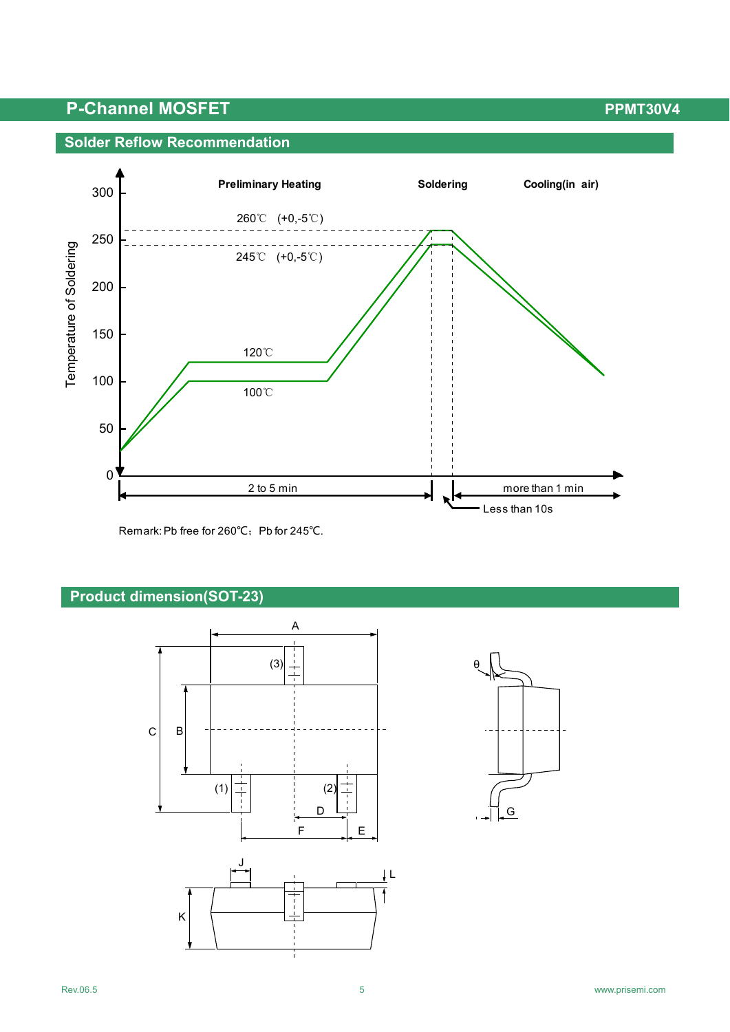## **P-Channel MOSFET P-Channel MOSFET**

### **Solder Reflow Recommendation**



Remark: Pb free for 260℃; Pb for 245℃.

### **Product dimension(SOT-23)**



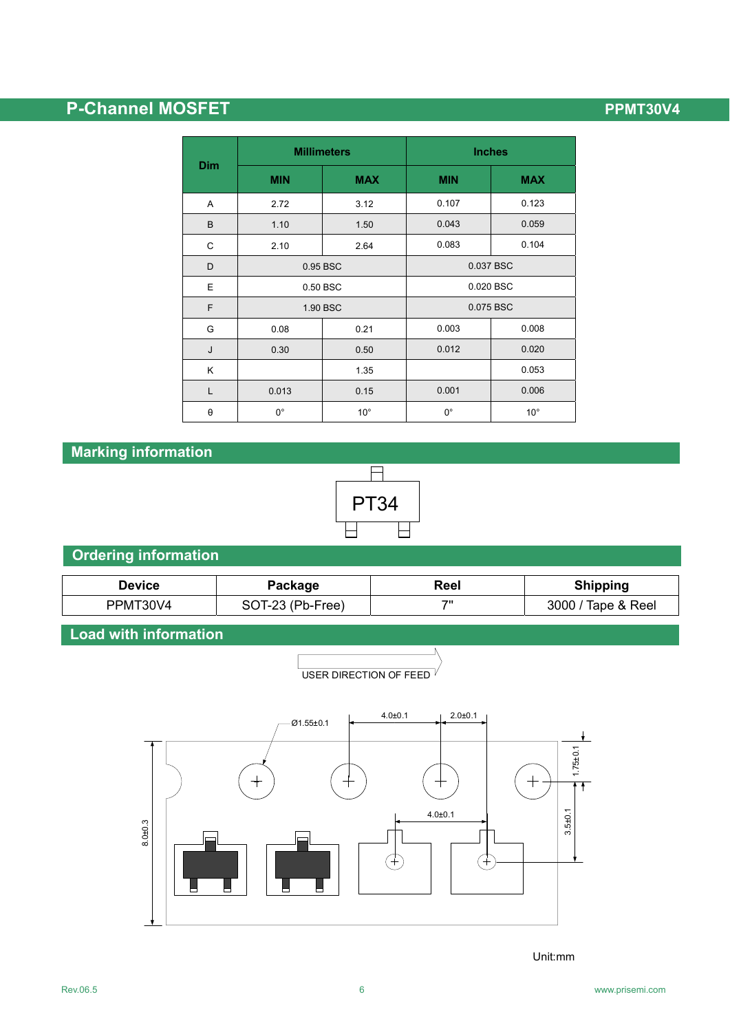# **P-Channel MOSFET P-Channel MOSFET**

| <b>Dim</b>            |             | <b>Millimeters</b> | <b>Inches</b> |              |  |
|-----------------------|-------------|--------------------|---------------|--------------|--|
|                       | <b>MIN</b>  | <b>MAX</b>         | <b>MIN</b>    | <b>MAX</b>   |  |
| A                     | 2.72        | 3.12               | 0.107         | 0.123        |  |
| B                     | 1.10        | 1.50               | 0.043         | 0.059        |  |
| C                     | 2.10        | 2.64               | 0.083         | 0.104        |  |
| D                     | 0.95 BSC    |                    | 0.037 BSC     |              |  |
| E                     | 0.50 BSC    |                    | 0.020 BSC     |              |  |
| F                     | 1.90 BSC    |                    | 0.075 BSC     |              |  |
| G                     | 0.08        | 0.21               | 0.003         | 0.008        |  |
| J                     | 0.30        | 0.50               | 0.012         | 0.020        |  |
| Κ                     |             | 1.35               |               | 0.053        |  |
| L                     | 0.013       | 0.15               | 0.001         | 0.006        |  |
| $\boldsymbol{\theta}$ | $0^{\circ}$ | $10^{\circ}$       | $0^{\circ}$   | $10^{\circ}$ |  |

## **Marking information**



## **Ordering information**

| Device   | Package          | Reel | <b>Shipping</b>    |
|----------|------------------|------|--------------------|
| PPMT30V4 | SOT-23 (Pb-Free) | フリ   | 3000 / Tape & Reel |

USER DIRECTION OF FEED

## **Load with information**



Unit:mm